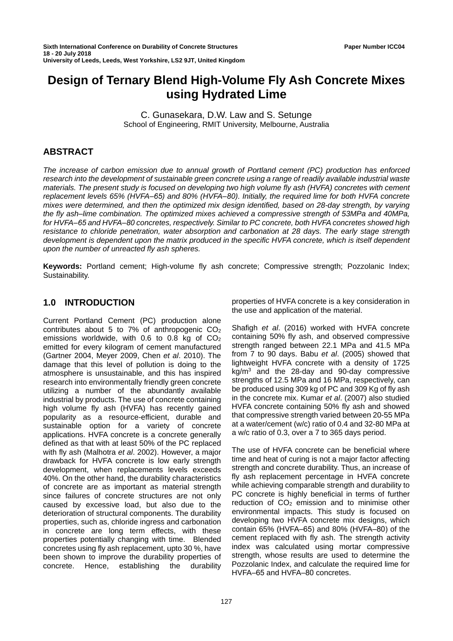# **Design of Ternary Blend High-Volume Fly Ash Concrete Mixes using Hydrated Lime**

C. Gunasekara, D.W. Law and S. Setunge School of Engineering, RMIT University, Melbourne, Australia

# **ABSTRACT**

*The increase of carbon emission due to annual growth of Portland cement (PC) production has enforced research into the development of sustainable green concrete using a range of readily available industrial waste materials. The present study is focused on developing two high volume fly ash (HVFA) concretes with cement replacement levels 65% (HVFA‒65) and 80% (HVFA‒80). Initially, the required lime for both HVFA concrete mixes were determined, and then the optimized mix design identified, based on 28-day strength, by varying the fly ash‒lime combination. The optimized mixes achieved a compressive strength of 53MPa and 40MPa, for HVFA‒65 and HVFA‒80 concretes, respectively. Similar to PC concrete, both HVFA concretes showed high resistance to chloride penetration, water absorption and carbonation at 28 days. The early stage strength development is dependent upon the matrix produced in the specific HVFA concrete, which is itself dependent upon the number of unreacted fly ash spheres.*

**Keywords:** Portland cement; High-volume fly ash concrete; Compressive strength; Pozzolanic Index; Sustainability.

# **1.0 INTRODUCTION**

Current Portland Cement (PC) production alone contributes about 5 to 7% of anthropogenic CO2 emissions worldwide, with 0.6 to 0.8 kg of CO<sub>2</sub> emitted for every kilogram of cement manufactured (Gartner 2004, Meyer 2009, Chen *et al*. 2010). The damage that this level of pollution is doing to the atmosphere is unsustainable, and this has inspired research into environmentally friendly green concrete utilizing a number of the abundantly available industrial by products. The use of concrete containing high volume fly ash (HVFA) has recently gained popularity as a resource-efficient, durable and sustainable option for a variety of concrete applications. HVFA concrete is a concrete generally defined as that with at least 50% of the PC replaced with fly ash (Malhotra *et al*. 2002). However, a major drawback for HVFA concrete is low early strength development, when replacements levels exceeds 40%. On the other hand, the durability characteristics of concrete are as important as material strength since failures of concrete structures are not only caused by excessive load, but also due to the deterioration of structural components. The durability properties, such as, chloride ingress and carbonation in concrete are long term effects, with these properties potentially changing with time. Blended concretes using fly ash replacement, upto 30 %, have been shown to improve the durability properties of concrete. Hence, establishing the durability

properties of HVFA concrete is a key consideration in the use and application of the material.

Shafigh *et al*. (2016) worked with HVFA concrete containing 50% fly ash, and observed compressive strength ranged between 22.1 MPa and 41.5 MPa from 7 to 90 days. Babu *et al*. (2005) showed that lightweight HVFA concrete with a density of 1725  $kq/m<sup>3</sup>$  and the 28-day and 90-day compressive strengths of 12.5 MPa and 16 MPa, respectively, can be produced using 309 kg of PC and 309 Kg of fly ash in the concrete mix. Kumar *et al*. (2007) also studied HVFA concrete containing 50% fly ash and showed that compressive strength varied between 20-55 MPa at a water/cement (w/c) ratio of 0.4 and 32-80 MPa at a w/c ratio of 0.3, over a 7 to 365 days period.

The use of HVFA concrete can be beneficial where time and heat of curing is not a major factor affecting strength and concrete durability. Thus, an increase of fly ash replacement percentage in HVFA concrete while achieving comparable strength and durability to PC concrete is highly beneficial in terms of further reduction of CO<sub>2</sub> emission and to minimise other environmental impacts. This study is focused on developing two HVFA concrete mix designs, which contain 65% (HVFA-65) and 80% (HVFA-80) of the cement replaced with fly ash. The strength activity index was calculated using mortar compressive strength, whose results are used to determine the Pozzolanic Index, and calculate the required lime for HVFA–65 and HVFA–80 concretes.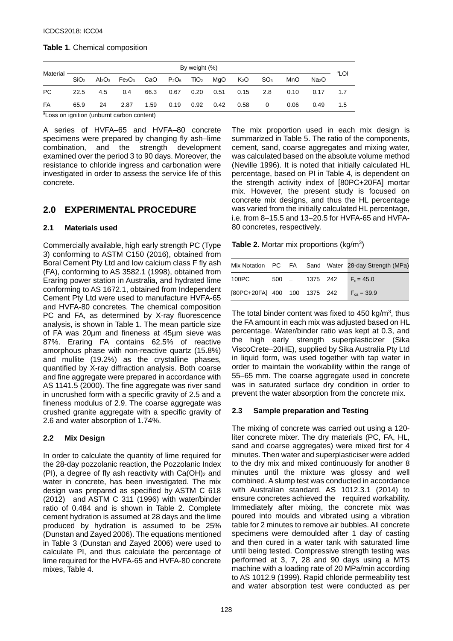### **Table 1**. Chemical composition

|                                     |                  |     |                                                                                                                                  |      |                  | By weight (%) |                        |     |      |                   | ªLOI |
|-------------------------------------|------------------|-----|----------------------------------------------------------------------------------------------------------------------------------|------|------------------|---------------|------------------------|-----|------|-------------------|------|
| Material <b>-------------------</b> | SiO <sub>2</sub> |     | $Al_2O_3$ Fe <sub>2</sub> O <sub>3</sub> CaO P <sub>2</sub> O <sub>5</sub> TiO <sub>2</sub> MgO K <sub>2</sub> O SO <sub>3</sub> |      |                  |               |                        |     | MnO  | Na <sub>2</sub> O |      |
| PC.                                 | 22.5             | 4.5 | 0.4                                                                                                                              |      | 66.3  0.67  0.20 |               | $0.51$ 0.15            | 2.8 | 0.10 | 0.17              | 1.7  |
| FA                                  | 65.9             | 24  | 2.87                                                                                                                             | 1.59 |                  |               | 0.19  0.92  0.42  0.58 | 0   | 0.06 | 0.49              | 1.5  |

<sup>a</sup>Loss on ignition (unburnt carbon content)

A series of HVFA–65 and HVFA–80 concrete specimens were prepared by changing fly ash-lime combination, and the strength development examined over the period 3 to 90 days. Moreover, the resistance to chloride ingress and carbonation were investigated in order to assess the service life of this concrete.

# **2.0 EXPERIMENTAL PROCEDURE**

## **2.1 Materials used**

Commercially available, high early strength PC (Type 3) conforming to ASTM C150 (2016), obtained from Boral Cement Pty Ltd and low calcium class F fly ash (FA), conforming to AS 3582.1 (1998), obtained from Eraring power station in Australia, and hydrated lime conforming to AS 1672.1, obtained from Independent Cement Pty Ltd were used to manufacture HVFA-65 and HVFA-80 concretes. The chemical composition PC and FA, as determined by X-ray fluorescence analysis, is shown in Table 1. The mean particle size of FA was 20µm and fineness at 45µm sieve was 87%. Eraring FA contains 62.5% of reactive amorphous phase with non-reactive quartz (15.8%) and mullite (19.2%) as the crystalline phases, quantified by X-ray diffraction analysis. Both coarse and fine aggregate were prepared in accordance with AS 1141.5 (2000). The fine aggregate was river sand in uncrushed form with a specific gravity of 2.5 and a fineness modulus of 2.9. The coarse aggregate was crushed granite aggregate with a specific gravity of 2.6 and water absorption of 1.74%.

# **2.2 Mix Design**

In order to calculate the quantity of lime required for the 28-day pozzolanic reaction, the Pozzolanic Index (PI), a degree of fly ash reactivity with  $Ca(OH)_2$  and water in concrete, has been investigated. The mix design was prepared as specified by ASTM C 618 (2012) and ASTM C 311 (1996) with water/binder ratio of 0.484 and is shown in Table 2. Complete cement hydration is assumed at 28 days and the lime produced by hydration is assumed to be 25% (Dunstan and Zayed 2006). The equations mentioned in Table 3 (Dunstan and Zayed 2006) were used to calculate PI, and thus calculate the percentage of lime required for the HVFA-65 and HVFA-80 concrete mixes, Table 4.

The mix proportion used in each mix design is summarized in Table 5. The ratio of the components, cement, sand, coarse aggregates and mixing water, was calculated based on the absolute volume method (Neville 1996). It is noted that initially calculated HL percentage, based on PI in Table 4, is dependent on the strength activity index of [80PC+20FA] mortar mix. However, the present study is focused on concrete mix designs, and thus the HL percentage was varied from the initially calculated HL percentage, i.e. from 8−15.5 and 13−20.5 for HVFA-65 and HVFA-80 concretes, respectively.

**Table 2.** Mortar mix proportions (kg/m<sup>3</sup>)

|                              |  |  | Mix Notation PC FA Sand Water 28-day Strength (MPa) |
|------------------------------|--|--|-----------------------------------------------------|
| 100PC                        |  |  | $500 = 1375$ 242 $F_c = 45.0$                       |
| [80PC+20FA] 400 100 1375 242 |  |  | $F_{ca} = 39.9$                                     |

The total binder content was fixed to  $450 \text{ kg/m}^3$ , thus the FA amount in each mix was adjusted based on HL percentage. Water/binder ratio was kept at 0.3, and the high early strength superplasticizer (Sika ViscoCrete−20HE), supplied by Sika Australia Pty Ltd in liquid form, was used together with tap water in order to maintain the workability within the range of 55−65 mm. The coarse aggregate used in concrete was in saturated surface dry condition in order to prevent the water absorption from the concrete mix.

# **2.3 Sample preparation and Testing**

The mixing of concrete was carried out using a 120 liter concrete mixer. The dry materials (PC, FA, HL, sand and coarse aggregates) were mixed first for 4 minutes. Then water and superplasticiser were added to the dry mix and mixed continuously for another 8 minutes until the mixture was glossy and well combined. A slump test was conducted in accordance with Australian standard, AS 1012.3.1 (2014) to ensure concretes achieved the required workability. Immediately after mixing, the concrete mix was poured into moulds and vibrated using a vibration table for 2 minutes to remove air bubbles. All concrete specimens were demoulded after 1 day of casting and then cured in a water tank with saturated lime until being tested. Compressive strength testing was performed at 3, 7, 28 and 90 days using a MTS machine with a loading rate of 20 MPa/min according to AS 1012.9 (1999). Rapid chloride permeability test and water absorption test were conducted as per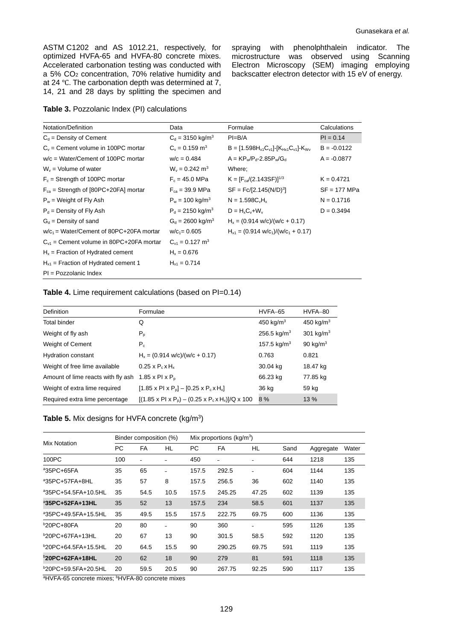ASTM [C1202](http://www.astm.org/Standards/C1202) and AS 1012.21, respectively, for optimized HVFA-65 and HVFA-80 concrete mixes. Accelerated carbonation testing was conducted with a 5% CO2 concentration, 70% relative humidity and at 24 ℃. The carbonation depth was determined at 7, 14, 21 and 28 days by splitting the specimen and spraying with phenolphthalein indicator. The microstructure was observed using Scanning Electron Microscopy (SEM) imaging employing backscatter electron detector with 15 eV of energy.

|  |  |  | Table 3. Pozzolanic Index (PI) calculations |
|--|--|--|---------------------------------------------|
|--|--|--|---------------------------------------------|

| Notation/Definition                          | Data                            | Formulae                                             | Calculations   |
|----------------------------------------------|---------------------------------|------------------------------------------------------|----------------|
| $C_d$ = Density of Cement                    | $C_d = 3150 \text{ kg/m}^3$     | $PI=B/A$                                             | $PI = 0.14$    |
| $C_v$ = Cement volume in 100PC mortar        | $C_v = 0.159$ m <sup>3</sup>    | $B = [1.598H_{x1}C_{v1}] - [K_{Hx1}C_{v1}] - K_{Wv}$ | $B = -0.0122$  |
| $w/c = Water/Cement of 100PC mortar$         | $w/c = 0.484$                   | $A = KP_w/P_d - 2.85P_w/G_d$                         | $A = -0.0877$  |
| $W_v$ = Volume of water                      | $W_v = 0.242$ m <sup>3</sup>    | Where:                                               |                |
| $F_c$ = Strength of 100PC mortar             | $F_c = 45.0 \text{ MPa}$        | $K = [F_{ca}/(2.143SF)]^{1/3}$                       | $K = 0.4721$   |
| $F_{ca}$ = Strength of [80PC+20FA] mortar    | $F_{ca} = 39.9 \text{ MPa}$     | $SF = Fc/[2.145(N/D)3]$                              | $SF = 177 MPa$ |
| $P_w$ = Weight of Fly Ash                    | $P_w = 100 \text{ kg/m}^3$      | $N = 1.598C_vH_v$                                    | $N = 0.1716$   |
| $P_d$ = Density of Fly Ash                   | $P_d = 2150 \text{ kg/m}^3$     | $D = H_x C_y + W_y$                                  | $D = 0.3494$   |
| $G_d$ = Density of sand                      | $G_d = 2600 \text{ kg/m}^3$     | $H_x = (0.914 \text{ w/c})/(w/c + 0.17)$             |                |
| $w/c_1$ = Water/Cement of 80PC+20FA mortar   | $w/c_1 = 0.605$                 | $H_{x1} = (0.914 \text{ w/c}_1)/(w/c_1 + 0.17)$      |                |
| $C_{v1}$ = Cement volume in 80PC+20FA mortar | $C_{v1} = 0.127$ m <sup>3</sup> |                                                      |                |
| $Hx$ = Fraction of Hydrated cement           | $H_x = 0.676$                   |                                                      |                |
| $H_{x1}$ = Fraction of Hydrated cement 1     | $H_{x1} = 0.714$                |                                                      |                |
| $PI = Pozzolanic Index$                      |                                 |                                                      |                |

#### **Table 4.** Lime requirement calculations (based on PI=0.14)

| <b>Definition</b>                  | Formulae                                                                                      | HVFA-65                 | HVFA-80      |
|------------------------------------|-----------------------------------------------------------------------------------------------|-------------------------|--------------|
| <b>Total binder</b>                | Q                                                                                             | 450 kg/ $m3$            | 450 kg/ $m3$ |
| Weight of fly ash                  | $P_{p}$                                                                                       | $256.5 \text{ kg/m}^3$  | 301 kg/ $m3$ |
| Weight of Cement                   | $P_c$                                                                                         | 157.5 kg/m <sup>3</sup> | 90 kg/ $m3$  |
| <b>Hydration constant</b>          | $H_x = (0.914 \text{ w/c})/(w/c + 0.17)$                                                      | 0.763                   | 0.821        |
| Weight of free lime available      | $0.25 \times P_c \times H_x$                                                                  | 30.04 kg                | 18.47 kg     |
| Amount of lime reacts with fly ash | 1.85 x Pl $\times$ P <sub>n</sub>                                                             | 66.23 kg                | 77.85 kg     |
| Weight of extra lime required      | $[1.85 \times P1 \times Pp] - [0.25 \times Pc \times Hx]$                                     | 36 kg                   | 59 kg        |
| Required extra lime percentage     | $[(1.85 \times P1 \times P_{\rm o}) - (0.25 \times P_{\rm c} \times H_{\rm x})]/Q \times 100$ | 8%                      | 13 %         |

| <b>Table 5.</b> Mix designs for HVFA concrete $(kg/m3)$ |  |
|---------------------------------------------------------|--|
|---------------------------------------------------------|--|

| Mix Notation                                                          |     | Binder composition (%)                                                                                                                                                                                                                                                                                                                     |      |       | Mix proportions ( $kg/m3$ ) |       |      |           |       |
|-----------------------------------------------------------------------|-----|--------------------------------------------------------------------------------------------------------------------------------------------------------------------------------------------------------------------------------------------------------------------------------------------------------------------------------------------|------|-------|-----------------------------|-------|------|-----------|-------|
|                                                                       | PC. | <b>FA</b>                                                                                                                                                                                                                                                                                                                                  | HL   | PC.   | FA                          | HL    | Sand | Aggregate | Water |
| 100PC                                                                 | 100 | $\overline{\phantom{0}}$                                                                                                                                                                                                                                                                                                                   |      | 450   | -                           |       | 644  | 1218      | 135   |
| <sup>a</sup> 35PC+65FA                                                | 35  | 65                                                                                                                                                                                                                                                                                                                                         |      | 157.5 | 292.5                       |       | 604  | 1144      | 135   |
| <sup>a</sup> 35PC+57FA+8HL                                            | 35  | 57                                                                                                                                                                                                                                                                                                                                         | 8    | 157.5 | 256.5                       | 36    | 602  | 1140      | 135   |
| <sup>a</sup> 35PC+54.5FA+10.5HL                                       | 35  | 54.5                                                                                                                                                                                                                                                                                                                                       | 10.5 | 157.5 | 245.25                      | 47.25 | 602  | 1139      | 135   |
| <sup>a</sup> 35PC+52FA+13HL                                           | 35  | 52                                                                                                                                                                                                                                                                                                                                         | 13   | 157.5 | 234                         | 58.5  | 601  | 1137      | 135   |
| <sup>a</sup> 35PC+49.5FA+15.5HL                                       | 35  | 49.5                                                                                                                                                                                                                                                                                                                                       | 15.5 | 157.5 | 222.75                      | 69.75 | 600  | 1136      | 135   |
| $b20PC + 80FA$                                                        | 20  | 80                                                                                                                                                                                                                                                                                                                                         |      | 90    | 360                         |       | 595  | 1126      | 135   |
| $b$ 20PC+67FA+13HL                                                    | 20  | 67                                                                                                                                                                                                                                                                                                                                         | 13   | 90    | 301.5                       | 58.5  | 592  | 1120      | 135   |
| <sup>b</sup> 20PC+64.5FA+15.5HL                                       | 20  | 64.5                                                                                                                                                                                                                                                                                                                                       | 15.5 | 90    | 290.25                      | 69.75 | 591  | 1119      | 135   |
| <b>20PC+62FA+18HL</b>                                                 | 20  | 62                                                                                                                                                                                                                                                                                                                                         | 18   | 90    | 279                         | 81    | 591  | 1118      | 135   |
| <sup>b</sup> 20PC+59.5FA+20.5HL<br>$21 W/TA$ of $\cdots$ and $\cdots$ | 20  | 59.5<br>$\mathbf{b}$ $\mathbf{B}$ $\mathbf{B}$ $\mathbf{B}$ $\mathbf{B}$ $\mathbf{A}$ $\mathbf{B}$ $\mathbf{A}$ $\mathbf{B}$ $\mathbf{B}$ $\mathbf{B}$ $\mathbf{B}$ $\mathbf{B}$ $\mathbf{B}$ $\mathbf{B}$ $\mathbf{B}$ $\mathbf{B}$ $\mathbf{B}$ $\mathbf{B}$ $\mathbf{B}$ $\mathbf{B}$ $\mathbf{B}$ $\mathbf{B}$ $\mathbf{B}$ $\mathbf{$ | 20.5 | 90    | 267.75                      | 92.25 | 590  | 1117      | 135   |

<sup>a</sup>HVFA-65 concrete mixes; <sup>b</sup>HVFA-80 concrete mixes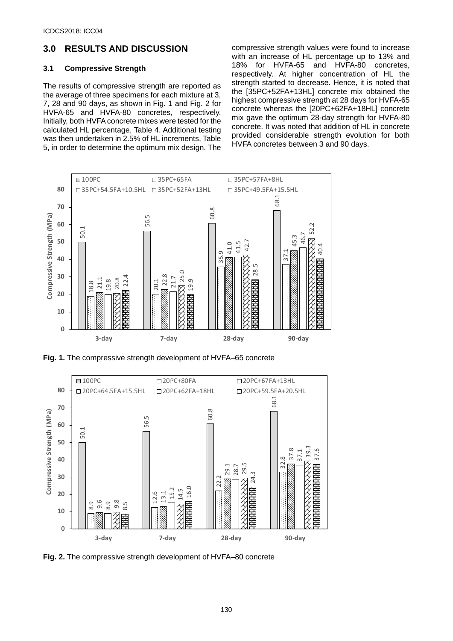# **3.0 RESULTS AND DISCUSSION**

#### **3.1 Compressive Strength**

The results of compressive strength are reported as the average of three specimens for each mixture at 3, 7, 28 and 90 days, as shown in Fig. 1 and Fig. 2 for HVFA-65 and HVFA-80 concretes, respectively. Initially, both HVFA concrete mixes were tested for the calculated HL percentage, Table 4. Additional testing was then undertaken in 2.5% of HL increments, Table 5, in order to determine the optimum mix design. The

compressive strength values were found to increase with an increase of HL percentage up to 13% and 18% for HVFA-65 and HVFA-80 concretes, respectively. At higher concentration of HL the strength started to decrease. Hence, it is noted that the [35PC+52FA+13HL] concrete mix obtained the highest compressive strength at 28 days for HVFA-65 concrete whereas the [20PC+62FA+18HL] concrete mix gave the optimum 28-day strength for HVFA-80 concrete. It was noted that addition of HL in concrete provided considerable strength evolution for both HVFA concretes between 3 and 90 days.



**Fig. 1.** The compressive strength development of HVFA–65 concrete

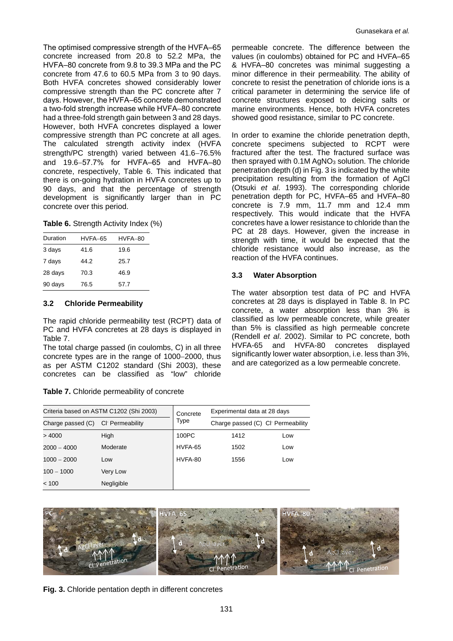The optimised compressive strength of the HVFA-65 concrete increased from 20.8 to 52.2 MPa, the HVFA-80 concrete from 9.8 to 39.3 MPa and the PC concrete from 47.6 to 60.5 MPa from 3 to 90 days. Both HVFA concretes showed considerably lower compressive strength than the PC concrete after 7 days. However, the HVFA‒65 concrete demonstrated a two-fold strength increase while HVFA-80 concrete had a three-fold strength gain between 3 and 28 days. However, both HVFA concretes displayed a lower compressive strength than PC concrete at all ages. The calculated strength activity index (HVFA strength/PC strength) varied between 41.6−76.5% and 19.6-57.7% for HVFA-65 and HVFA-80 concrete, respectively, Table 6. This indicated that there is on-going hydration in HVFA concretes up to 90 days, and that the percentage of strength development is significantly larger than in PC concrete over this period.

**Table 6.** Strength Activity Index (%)

| Duration | HVFA-65 | HVFA-80 |
|----------|---------|---------|
| 3 days   | 41.6    | 19.6    |
| 7 days   | 44.2    | 25.7    |
| 28 days  | 70.3    | 46.9    |
| 90 days  | 76.5    | 57.7    |

### **3.2 Chloride Permeability**

The rapid chloride permeability test (RCPT) data of PC and HVFA concretes at 28 days is displayed in Table 7.

The total charge passed (in coulombs, C) in all three concrete types are in the range of 1000−2000, thus as per ASTM C1202 standard (Shi 2003), these concretes can be classified as "low" chloride

|  |  | Table 7. Chloride permeability of concrete |  |
|--|--|--------------------------------------------|--|
|--|--|--------------------------------------------|--|

permeable concrete. The difference between the values (in coulombs) obtained for PC and HVFA-65 & HVFA‒80 concretes was minimal suggesting a minor difference in their permeability. The ability of concrete to resist the penetration of chloride ions is a critical parameter in determining the service life of concrete structures exposed to deicing salts or marine environments. Hence, both HVFA concretes showed good resistance, similar to PC concrete.

In order to examine the chloride penetration depth, concrete specimens subjected to RCPT were fractured after the test. The fractured surface was then sprayed with  $0.1M$  AgNO<sub>3</sub> solution. The chloride penetration depth (d) in Fig. 3 is indicated by the white precipitation resulting from the formation of AgCl (Otsuki *et al*. 1993). The corresponding chloride penetration depth for PC, HVFA-65 and HVFA-80 concrete is 7.9 mm, 11.7 mm and 12.4 mm respectively. This would indicate that the HVFA concretes have a lower resistance to chloride than the PC at 28 days. However, given the increase in strength with time, it would be expected that the chloride resistance would also increase, as the reaction of the HVFA continues.

# **3.3 Water Absorption**

The water absorption test data of PC and HVFA concretes at 28 days is displayed in Table 8. In PC concrete, a water absorption less than 3% is classified as low permeable concrete, while greater than 5% is classified as high permeable concrete (Rendell *et al*. 2002). Similar to PC concrete, both HVFA-65 and HVFA-80 concretes displayed significantly lower water absorption, i.e. less than 3%, and are categorized as a low permeable concrete.

|                   | Criteria based on ASTM C1202 (Shi 2003) | Concrete | Experimental data at 28 days                   |     |  |  |
|-------------------|-----------------------------------------|----------|------------------------------------------------|-----|--|--|
| Charge passed (C) | CI <sup>-</sup> Permeability            |          | Charge passed (C) Cl <sup>-</sup> Permeability |     |  |  |
| >4000             | High                                    | 100PC    | 1412                                           | Low |  |  |
| $2000 - 4000$     | Moderate                                | HVFA-65  | 1502                                           | Low |  |  |
| $1000 - 2000$     | Low                                     | HVFA-80  | 1556                                           | Low |  |  |
| $100 - 1000$      | Very Low                                |          |                                                |     |  |  |
| < 100             | Negligible                              |          |                                                |     |  |  |



**Fig. 3.** Chloride pentation depth in different concretes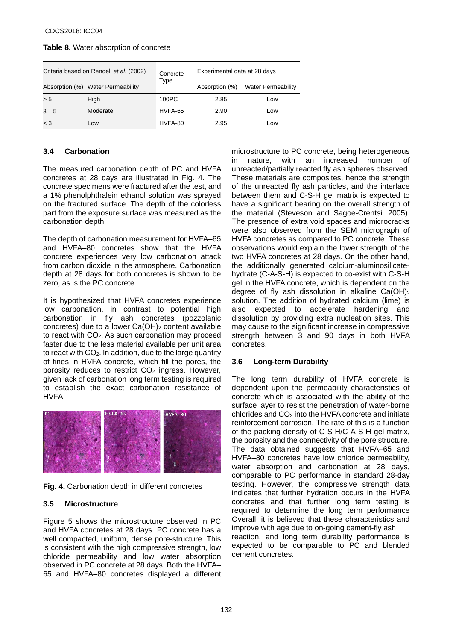| Table 8. Water absorption of concrete |
|---------------------------------------|
|---------------------------------------|

|         | Criteria based on Rendell et al. (2002) | Concrete | Experimental data at 28 days |                           |  |
|---------|-----------------------------------------|----------|------------------------------|---------------------------|--|
|         | Absorption (%) Water Permeability       | Type     | Absorption (%)               | <b>Water Permeability</b> |  |
| > 5     | High                                    | 100PC    | 2.85                         | Low                       |  |
| $3 - 5$ | Moderate                                | HVFA-65  | 2.90                         | Low                       |  |
| $<$ 3   | Low                                     | HVFA-80  | 2.95                         | Low                       |  |

## **3.4 Carbonation**

The measured carbonation depth of PC and HVFA concretes at 28 days are illustrated in Fig. 4. The concrete specimens were fractured after the test, and a 1% phenolphthalein ethanol solution was sprayed on the fractured surface. The depth of the colorless part from the exposure surface was measured as the carbonation depth.

The depth of carbonation measurement for HVFA–65 and HVFA-80 concretes show that the HVFA concrete experiences very low carbonation attack from carbon dioxide in the atmosphere. Carbonation depth at 28 days for both concretes is shown to be zero, as is the PC concrete.

It is hypothesized that HVFA concretes experience low carbonation, in contrast to potential high carbonation in fly ash concretes (pozzolanic concretes) due to a lower  $Ca(OH)_2$  content available to react with  $CO<sub>2</sub>$ . As such carbonation may proceed faster due to the less material available per unit area to react with CO2. In addition, due to the large quantity of fines in HVFA concrete, which fill the pores, the porosity reduces to restrict CO<sub>2</sub> ingress. However, given lack of carbonation long term testing is required to establish the exact carbonation resistance of HVFA.



**Fig. 4.** Carbonation depth in different concretes

# **3.5 Microstructure**

Figure 5 shows the microstructure observed in PC and HVFA concretes at 28 days. PC concrete has a well compacted, uniform, dense pore-structure. This is consistent with the high compressive strength, low chloride permeability and low water absorption observed in PC concrete at 28 days. Both the HVFA-65 and HVFA‒80 concretes displayed a different

microstructure to PC concrete, being heterogeneous in nature, with an increased number of unreacted/partially reacted fly ash spheres observed. These materials are composites, hence the strength of the unreacted fly ash particles, and the interface between them and C-S-H gel matrix is expected to have a significant bearing on the overall strength of the material (Steveson and Sagoe-Crentsil 2005). The presence of extra void spaces and microcracks were also observed from the SEM micrograph of HVFA concretes as compared to PC concrete. These observations would explain the lower strength of the two HVFA concretes at 28 days. On the other hand, the additionally generated calcium-aluminosilicatehydrate (C-A-S-H) is expected to co-exist with C-S-H gel in the HVFA concrete, which is dependent on the degree of fly ash dissolution in alkaline  $Ca(OH)_2$ solution. The addition of hydrated calcium (lime) is also expected to accelerate hardening and dissolution by providing extra nucleation sites. This may cause to the significant increase in compressive strength between 3 and 90 days in both HVFA concretes.

# **3.6 Long-term Durability**

The long term durability of HVFA concrete is dependent upon the permeability characteristics of concrete which is associated with the ability of the surface layer to resist the penetration of water-borne chlorides and CO2 into the HVFA concrete and initiate reinforcement corrosion. The rate of this is a function of the packing density of C-S-H/C-A-S-H gel matrix, the porosity and the connectivity of the pore structure. The data obtained suggests that HVFA-65 and HVFA-80 concretes have low chloride permeability, water absorption and carbonation at 28 days, comparable to PC performance in standard 28-day testing. However, the compressive strength data indicates that further hydration occurs in the HVFA concretes and that further long term testing is required to determine the long term performance Overall, it is believed that these characteristics and improve with age due to on-going cement-fly ash reaction, and long term durability performance is expected to be comparable to PC and blended cement concretes.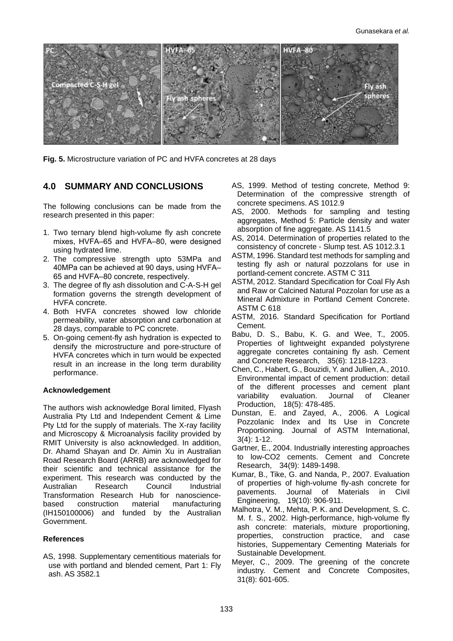

**Fig. 5.** Microstructure variation of PC and HVFA concretes at 28 days

## **4.0 SUMMARY AND CONCLUSIONS**

The following conclusions can be made from the research presented in this paper:

- 1. Two ternary blend high-volume fly ash concrete mixes, HVFA-65 and HVFA-80, were designed using hydrated lime.
- 2. The compressive strength upto 53MPa and 40MPa can be achieved at 90 days, using HVFA-65 and HVFA‒80 concrete, respectively.
- 3. The degree of fly ash dissolution and C-A-S-H gel formation governs the strength development of HVFA concrete.
- 4. Both HVFA concretes showed low chloride permeability, water absorption and carbonation at 28 days, comparable to PC concrete.
- 5. On-going cement-fly ash hydration is expected to densify the microstructure and pore-structure of HVFA concretes which in turn would be expected result in an increase in the long term durability performance.

#### **Acknowledgement**

The authors wish acknowledge Boral limited, Flyash Australia Pty Ltd and Independent Cement & Lime Pty Ltd for the supply of materials. The X-ray facility and Microscopy & Microanalysis facility provided by RMIT University is also acknowledged. In addition, Dr. Ahamd Shayan and Dr. Aimin Xu in Australian Road Research Board (ARRB) are acknowledged for their scientific and technical assistance for the experiment. This research was conducted by the Australian Research Council Industrial Transformation Research Hub for nanosciencebased construction material manufacturing (IH150100006) and funded by the Australian Government.

#### **References**

AS, 1998. Supplementary cementitious materials for use with portland and blended cement, Part 1: Fly ash. AS 3582.1

- AS, 1999. Method of testing concrete, Method 9: Determination of the compressive strength of concrete specimens. AS 1012.9
- AS, 2000. Methods for sampling and testing aggregates, Method 5: Particle density and water absorption of fine aggregate. AS 1141.5
- AS, 2014. Determination of properties related to the consistency of concrete - Slump test. AS 1012.3.1
- ASTM, 1996. Standard test methods for sampling and testing fly ash or natural pozzolans for use in portland-cement concrete. ASTM C 311
- ASTM, 2012. Standard Specification for Coal Fly Ash and Raw or Calcined Natural Pozzolan for use as a Mineral Admixture in Portland Cement Concrete. ASTM C 618
- ASTM, 2016. Standard Specification for Portland Cement.
- Babu, D. S., Babu, K. G. and Wee, T., 2005. Properties of lightweight expanded polystyrene aggregate concretes containing fly ash. Cement and Concrete Research, 35(6): 1218-1223.
- Chen, C., Habert, G., Bouzidi, Y. and Jullien, A., 2010. Environmental impact of cement production: detail of the different processes and cement plant variability evaluation. Journal of Cleaner Production, 18(5): 478-485.
- Dunstan, E. and Zayed, A., 2006. A Logical Pozzolanic Index and Its Use in Concrete Proportioning. Journal of ASTM International, 3(4): 1-12.
- Gartner, E., 2004. Industrially interesting approaches to low-CO2 cements. Cement and Concrete Research, 34(9): 1489-1498.
- Kumar, B., Tike, G. and Nanda, P., 2007. Evaluation of properties of high-volume fly-ash concrete for pavements. Journal of Materials in Civil Engineering, 19(10): 906-911.
- Malhotra, V. M., Mehta, P. K. and Development, S. C. M. f. S., 2002. High-performance, high-volume fly ash concrete: materials, mixture proportioning, properties, construction practice, and case histories, Suppementary Cementing Materials for Sustainable Development.
- Meyer, C., 2009. The greening of the concrete industry. Cement and Concrete Composites, 31(8): 601-605.